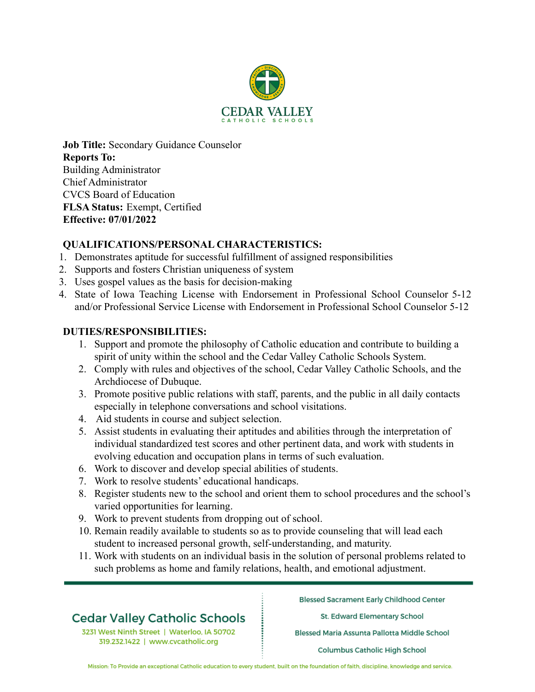

**Job Title:** Secondary Guidance Counselor **Reports To:** Building Administrator Chief Administrator CVCS Board of Education **FLSA Status:** Exempt, Certified **Effective: 07/01/2022**

### **QUALIFICATIONS/PERSONAL CHARACTERISTICS:**

- 1. Demonstrates aptitude for successful fulfillment of assigned responsibilities
- 2. Supports and fosters Christian uniqueness of system
- 3. Uses gospel values as the basis for decision-making
- 4. State of Iowa Teaching License with Endorsement in Professional School Counselor 5-12 and/or Professional Service License with Endorsement in Professional School Counselor 5-12

#### **DUTIES/RESPONSIBILITIES:**

- 1. Support and promote the philosophy of Catholic education and contribute to building a spirit of unity within the school and the Cedar Valley Catholic Schools System.
- 2. Comply with rules and objectives of the school, Cedar Valley Catholic Schools, and the Archdiocese of Dubuque.
- 3. Promote positive public relations with staff, parents, and the public in all daily contacts especially in telephone conversations and school visitations.
- 4. Aid students in course and subject selection.
- 5. Assist students in evaluating their aptitudes and abilities through the interpretation of individual standardized test scores and other pertinent data, and work with students in evolving education and occupation plans in terms of such evaluation.
- 6. Work to discover and develop special abilities of students.
- 7. Work to resolve students' educational handicaps.
- 8. Register students new to the school and orient them to school procedures and the school's varied opportunities for learning.
- 9. Work to prevent students from dropping out of school.
- 10. Remain readily available to students so as to provide counseling that will lead each student to increased personal growth, self-understanding, and maturity.
- 11. Work with students on an individual basis in the solution of personal problems related to such problems as home and family relations, health, and emotional adjustment.

# **Cedar Valley Catholic Schools**

3231 West Ninth Street | Waterloo, IA 50702 319.232.1422 | www.cvcatholic.org

**Blessed Sacrament Early Childhood Center** 

St. Edward Elementary School

Blessed Maria Assunta Pallotta Middle School

**Columbus Catholic High School** 

Mission: To Provide an exceptional Catholic education to every student, built on the foundation of faith, discipline, knowledge and service.